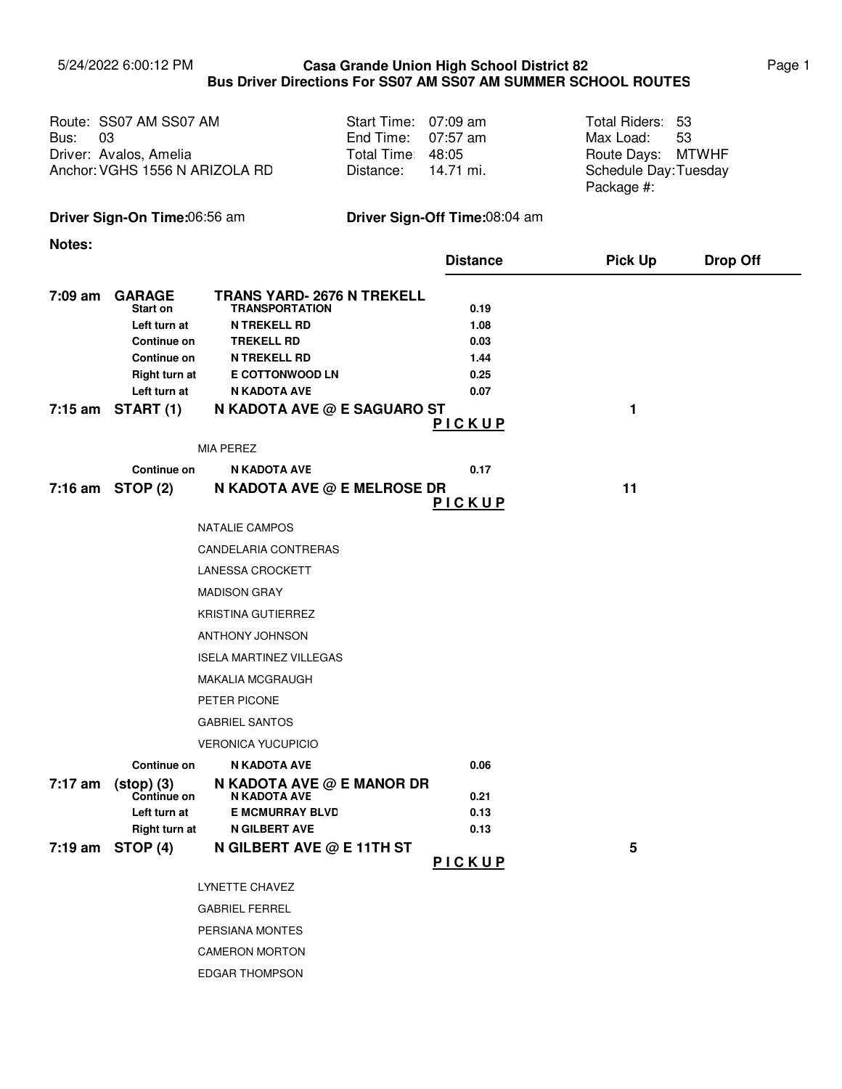## 5/24/2022 6:00:12 PM Page 1 **Casa Grande Union High School District 82 Bus Driver Directions For SS07 AM SS07 AM SUMMER SCHOOL ROUTES**

| Route: SS07 AM SS07 AM<br>Bus: 03<br>Driver: Avalos, Amelia<br>Anchor: VGHS 1556 N ARIZOLA RD | Start Time: 07:09 am<br>End Time: $07:57$ am<br>Total Time 48:05<br>Distance: 14.71 mi. | Total Riders: 53<br>Max Load: 53<br>Route Days: MTWHF<br>Schedule Day: Tuesday |  |
|-----------------------------------------------------------------------------------------------|-----------------------------------------------------------------------------------------|--------------------------------------------------------------------------------|--|
|                                                                                               |                                                                                         | Package #:                                                                     |  |

**Driver Sign-On Time:**06:56 am **Driver Sign-Off Time:**08:04 am

**Notes:**

|         |                                      |                                                            | <b>Distance</b> | <b>Pick Up</b> | <b>Drop Off</b> |
|---------|--------------------------------------|------------------------------------------------------------|-----------------|----------------|-----------------|
| 7:09 am | <b>GARAGE</b><br>Start on            | <b>TRANS YARD- 2676 N TREKELL</b><br><b>TRANSPORTATION</b> | 0.19            |                |                 |
|         | Left turn at                         | <b>N TREKELL RD</b>                                        | 1.08            |                |                 |
|         | Continue on                          | <b>TREKELL RD</b>                                          | 0.03            |                |                 |
|         | Continue on                          | <b>N TREKELL RD</b><br><b>E COTTONWOOD LN</b>              | 1.44<br>0.25    |                |                 |
|         | <b>Right turn at</b><br>Left turn at | N KADOTA AVE                                               | 0.07            |                |                 |
|         | $7:15$ am START $(1)$                | N KADOTA AVE @ E SAGUARO ST                                |                 | 1              |                 |
|         |                                      |                                                            | PICKUP          |                |                 |
|         |                                      | <b>MIA PEREZ</b>                                           |                 |                |                 |
|         | Continue on                          | <b>N KADOTA AVE</b>                                        | 0.17            |                |                 |
|         | $7:16$ am STOP $(2)$                 | N KADOTA AVE @ E MELROSE DR                                |                 | 11             |                 |
|         |                                      |                                                            | PICKUP          |                |                 |
|         |                                      | <b>NATALIE CAMPOS</b>                                      |                 |                |                 |
|         |                                      | CANDELARIA CONTRERAS                                       |                 |                |                 |
|         |                                      | <b>LANESSA CROCKETT</b>                                    |                 |                |                 |
|         |                                      | <b>MADISON GRAY</b>                                        |                 |                |                 |
|         |                                      | <b>KRISTINA GUTIERREZ</b>                                  |                 |                |                 |
|         |                                      | ANTHONY JOHNSON                                            |                 |                |                 |
|         |                                      | <b>ISELA MARTINEZ VILLEGAS</b>                             |                 |                |                 |
|         |                                      | <b>MAKALIA MCGRAUGH</b>                                    |                 |                |                 |
|         |                                      | PETER PICONE                                               |                 |                |                 |
|         |                                      | <b>GABRIEL SANTOS</b>                                      |                 |                |                 |
|         |                                      | <b>VERONICA YUCUPICIO</b>                                  |                 |                |                 |
|         | Continue on                          | N KADOTA AVE                                               | 0.06            |                |                 |
| 7:17 am | $(stop) (3)$                         | N KADOTA AVE @ E MANOR DR                                  |                 |                |                 |
|         | Continue on<br>Left turn at          | N KADOTA AVE<br><b>E MCMURRAY BLVD</b>                     | 0.21<br>0.13    |                |                 |
|         | <b>Right turn at</b>                 | <b>N GILBERT AVE</b>                                       | 0.13            |                |                 |
| 7:19 am | STOP (4)                             | N GILBERT AVE @ E 11TH ST                                  |                 | 5              |                 |
|         |                                      |                                                            | PICKUP          |                |                 |
|         |                                      | LYNETTE CHAVEZ                                             |                 |                |                 |
|         |                                      | <b>GABRIEL FERREL</b>                                      |                 |                |                 |
|         |                                      | PERSIANA MONTES                                            |                 |                |                 |
|         |                                      | <b>CAMERON MORTON</b>                                      |                 |                |                 |

EDGAR THOMPSON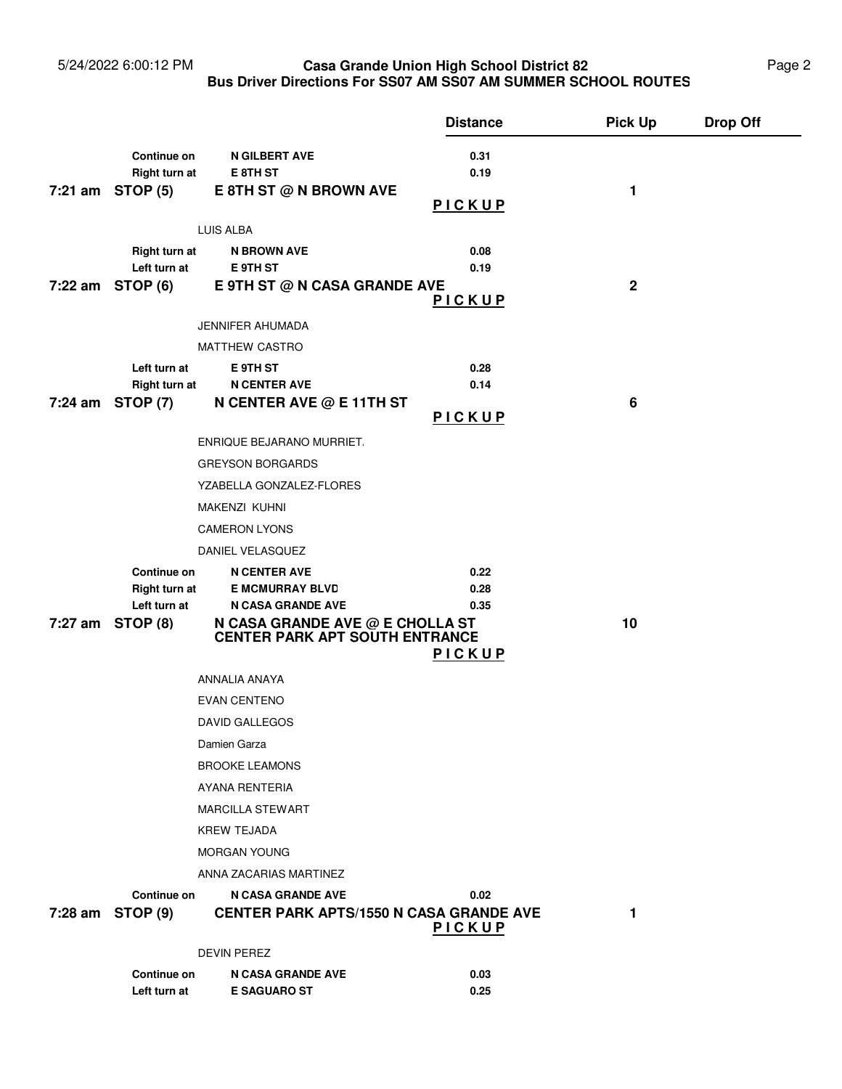### 5/24/2022 6:00:12 PM **Casa Grande Union High School District 82** Page 2 **Bus Driver Directions For SS07 AM SS07 AM SUMMER SCHOOL ROUTES Casa Grande Union High School District 82**

|         |                                       |                                                    | <b>Distance</b> | <b>Pick Up</b>  | <b>Drop Off</b> |
|---------|---------------------------------------|----------------------------------------------------|-----------------|-----------------|-----------------|
|         | Continue on                           | <b>N GILBERT AVE</b>                               | 0.31            |                 |                 |
|         | Right turn at                         | E 8TH ST                                           | 0.19            |                 |                 |
|         | $7:21$ am STOP $(5)$                  | E 8TH ST @ N BROWN AVE                             |                 | 1               |                 |
|         |                                       |                                                    | PICKUP          |                 |                 |
|         |                                       | LUIS ALBA                                          |                 |                 |                 |
|         | <b>Right turn at</b>                  | <b>N BROWN AVE</b>                                 | 0.08            |                 |                 |
|         | Left turn at                          | E 9TH ST                                           | 0.19            |                 |                 |
|         | $7:22$ am STOP (6)                    | E 9TH ST @ N CASA GRANDE AVE                       | <u>PICKUP</u>   | $\mathbf 2$     |                 |
|         |                                       | JENNIFER AHUMADA                                   |                 |                 |                 |
|         |                                       | MATTHEW CASTRO                                     |                 |                 |                 |
|         | Left turn at                          | E 9TH ST                                           | 0.28            |                 |                 |
|         | <b>Right turn at</b>                  | <b>N CENTER AVE</b>                                | 0.14            |                 |                 |
|         | 7:24 am STOP (7)                      | N CENTER AVE @ E 11TH ST                           |                 | $6\phantom{1}6$ |                 |
|         |                                       |                                                    | PICKUP          |                 |                 |
|         |                                       | ENRIQUE BEJARANO MURRIET.                          |                 |                 |                 |
|         |                                       | <b>GREYSON BORGARDS</b>                            |                 |                 |                 |
|         |                                       | YZABELLA GONZALEZ-FLORES                           |                 |                 |                 |
|         |                                       | <b>MAKENZI KUHNI</b>                               |                 |                 |                 |
|         |                                       | <b>CAMERON LYONS</b>                               |                 |                 |                 |
|         |                                       | DANIEL VELASQUEZ                                   |                 |                 |                 |
|         | Continue on                           | <b>N CENTER AVE</b>                                | 0.22            |                 |                 |
|         | <b>Right turn at</b><br>Left turn at  | <b>E MCMURRAY BLVD</b><br><b>N CASA GRANDE AVE</b> | 0.28<br>0.35    |                 |                 |
|         | 7:27 am STOP (8)                      | N CASA GRANDE AVE @ E CHOLLA ST                    |                 | 10              |                 |
|         | <b>CENTER PARK APT SOUTH ENTRANCE</b> |                                                    |                 |                 |                 |
|         |                                       |                                                    | <u>PICKUP</u>   |                 |                 |
|         |                                       | ANNALIA ANAYA                                      |                 |                 |                 |
|         |                                       | <b>EVAN CENTENO</b>                                |                 |                 |                 |
|         |                                       | <b>DAVID GALLEGOS</b>                              |                 |                 |                 |
|         |                                       | Damien Garza                                       |                 |                 |                 |
|         |                                       | <b>BROOKE LEAMONS</b>                              |                 |                 |                 |
|         |                                       | <b>AYANA RENTERIA</b>                              |                 |                 |                 |
|         |                                       | <b>MARCILLA STEWART</b>                            |                 |                 |                 |
|         |                                       | <b>KREW TEJADA</b>                                 |                 |                 |                 |
|         |                                       | <b>MORGAN YOUNG</b>                                |                 |                 |                 |
|         |                                       | ANNA ZACARIAS MARTINEZ                             |                 |                 |                 |
|         | Continue on                           | <b>N CASA GRANDE AVE</b>                           | 0.02            |                 |                 |
| 7:28 am | <b>STOP (9)</b>                       | <b>CENTER PARK APTS/1550 N CASA GRANDE AVE</b>     | <u>PICKUP</u>   | 1               |                 |
|         |                                       | DEVIN PEREZ                                        |                 |                 |                 |
|         | <b>Continue on</b>                    | <b>N CASA GRANDE AVE</b>                           |                 |                 |                 |
|         | Left turn at                          | <b>E SAGUARO ST</b>                                | 0.03<br>0.25    |                 |                 |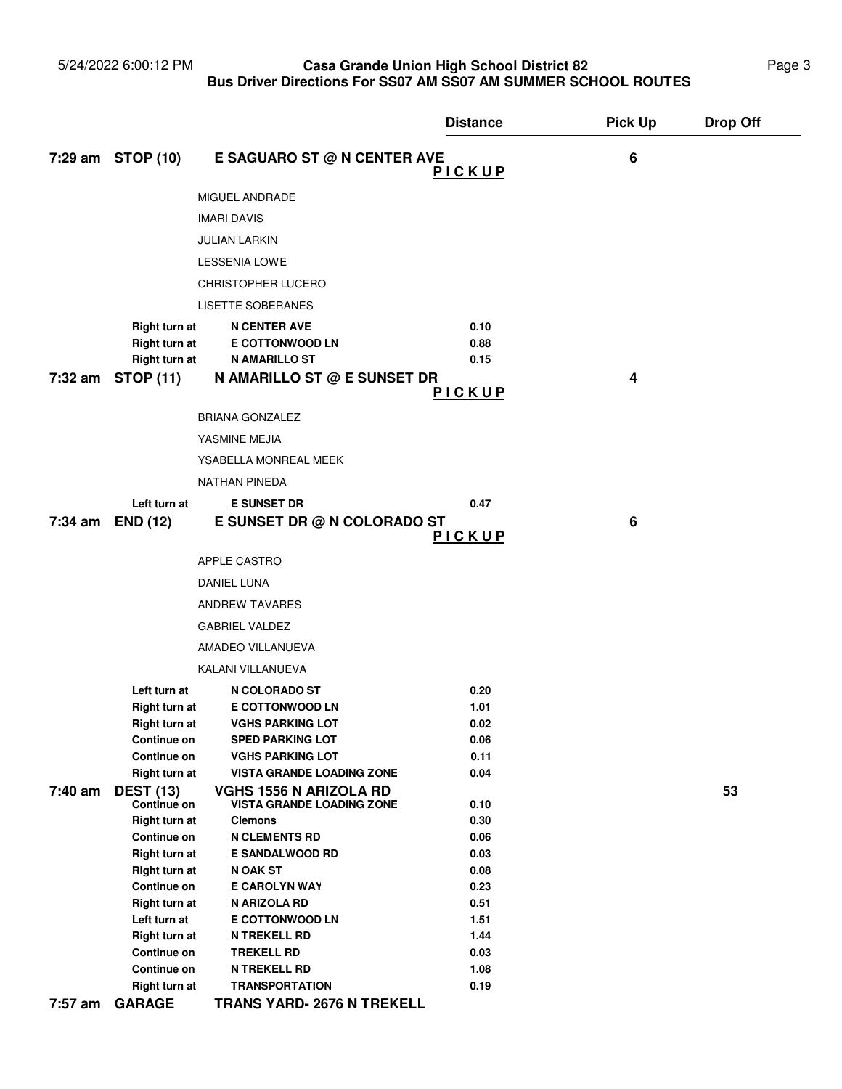#### 5/24/2022 6:00:12 PM **Casa Grande Union High School District 82** Page 3 **Bus Driver Directions For SS07 AM SS07 AM SUMMER SCHOOL ROUTES Casa Grande Union High School District 82**

|         |                                 |                                                                   | <b>Distance</b> | <b>Pick Up</b>   | <b>Drop Off</b> |
|---------|---------------------------------|-------------------------------------------------------------------|-----------------|------------------|-----------------|
|         | 7:29 am STOP (10)               | E SAGUARO ST @ N CENTER AVE                                       | PICKUP          | $\boldsymbol{6}$ |                 |
|         |                                 | MIGUEL ANDRADE                                                    |                 |                  |                 |
|         |                                 |                                                                   |                 |                  |                 |
|         |                                 | <b>IMARI DAVIS</b>                                                |                 |                  |                 |
|         |                                 | JULIAN LARKIN                                                     |                 |                  |                 |
|         |                                 | <b>LESSENIA LOWE</b>                                              |                 |                  |                 |
|         |                                 | <b>CHRISTOPHER LUCERO</b>                                         |                 |                  |                 |
|         |                                 | <b>LISETTE SOBERANES</b>                                          |                 |                  |                 |
|         | Right turn at                   | <b>N CENTER AVE</b>                                               | 0.10            |                  |                 |
|         | <b>Right turn at</b>            | <b>E COTTONWOOD LN</b>                                            | 0.88            |                  |                 |
|         | Right turn at                   | <b>N AMARILLO ST</b>                                              | 0.15            |                  |                 |
|         | 7:32 am STOP (11)               | N AMARILLO ST @ E SUNSET DR                                       | PICKUP          | 4                |                 |
|         |                                 | <b>BRIANA GONZALEZ</b>                                            |                 |                  |                 |
|         |                                 | YASMINE MEJIA                                                     |                 |                  |                 |
|         |                                 | YSABELLA MONREAL MEEK                                             |                 |                  |                 |
|         |                                 | <b>NATHAN PINEDA</b>                                              |                 |                  |                 |
|         | Left turn at                    | <b>E SUNSET DR</b>                                                | 0.47            |                  |                 |
| 7:34 am | <b>END (12)</b>                 | E SUNSET DR @ N COLORADO ST                                       |                 | 6                |                 |
|         |                                 |                                                                   | PICKUP          |                  |                 |
|         |                                 | APPLE CASTRO                                                      |                 |                  |                 |
|         |                                 | DANIEL LUNA                                                       |                 |                  |                 |
|         |                                 | <b>ANDREW TAVARES</b>                                             |                 |                  |                 |
|         |                                 | <b>GABRIEL VALDEZ</b>                                             |                 |                  |                 |
|         |                                 | AMADEO VILLANUEVA                                                 |                 |                  |                 |
|         |                                 | KALANI VILLANUEVA                                                 |                 |                  |                 |
|         | Left turn at                    | N COLORADO ST                                                     | 0.20            |                  |                 |
|         | <b>Right turn at</b>            | <b>E COTTONWOOD LN</b>                                            | 1.01            |                  |                 |
|         | <b>Right turn at</b>            | <b>VGHS PARKING LOT</b>                                           | 0.02            |                  |                 |
|         | <b>Continue on</b>              | <b>SPED PARKING LOT</b>                                           | $0.06\,$        |                  |                 |
|         | Continue on                     | <b>VGHS PARKING LOT</b>                                           | 0.11            |                  |                 |
|         | <b>Right turn at</b>            | <b>VISTA GRANDE LOADING ZONE</b>                                  | 0.04            |                  |                 |
| 7:40 am | <b>DEST (13)</b><br>Continue on | <b>VGHS 1556 N ARIZOLA RD</b><br><b>VISTA GRANDE LOADING ZONE</b> | 0.10            |                  | 53              |
|         | <b>Right turn at</b>            | <b>Clemons</b>                                                    | 0.30            |                  |                 |
|         | Continue on                     | <b>N CLEMENTS RD</b>                                              | 0.06            |                  |                 |
|         | <b>Right turn at</b>            | <b>E SANDALWOOD RD</b>                                            | 0.03            |                  |                 |
|         | <b>Right turn at</b>            | N OAK ST                                                          | 0.08            |                  |                 |
|         | <b>Continue on</b>              | E CAROLYN WAY                                                     | 0.23            |                  |                 |
|         | <b>Right turn at</b>            | N ARIZOLA RD                                                      | 0.51            |                  |                 |
|         | Left turn at                    | <b>E COTTONWOOD LN</b>                                            | 1.51            |                  |                 |
|         | <b>Right turn at</b>            | <b>N TREKELL RD</b>                                               | 1.44            |                  |                 |
|         | Continue on                     | <b>TREKELL RD</b>                                                 | 0.03            |                  |                 |
|         | Continue on                     | <b>N TREKELL RD</b>                                               | 1.08            |                  |                 |
|         | Right turn at                   | <b>TRANSPORTATION</b>                                             | 0.19            |                  |                 |
| 7:57 am | <b>GARAGE</b>                   | <b>TRANS YARD- 2676 N TREKELL</b>                                 |                 |                  |                 |